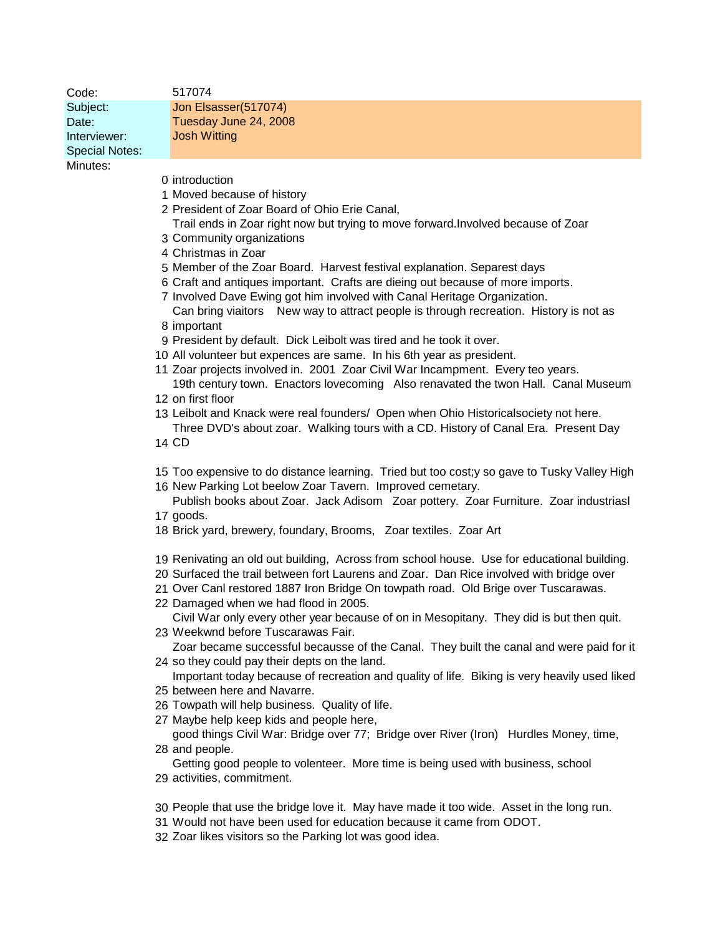| Code:                             | 517074                                                                                                                                                     |
|-----------------------------------|------------------------------------------------------------------------------------------------------------------------------------------------------------|
| Subject:                          | Jon Elsasser(517074)                                                                                                                                       |
| Date:                             | Tuesday June 24, 2008                                                                                                                                      |
| Interviewer:                      | <b>Josh Witting</b>                                                                                                                                        |
| <b>Special Notes:</b><br>Minutes: |                                                                                                                                                            |
|                                   | 0 introduction                                                                                                                                             |
|                                   | 1 Moved because of history                                                                                                                                 |
|                                   | 2 President of Zoar Board of Ohio Erie Canal,                                                                                                              |
|                                   | Trail ends in Zoar right now but trying to move forward. Involved because of Zoar                                                                          |
|                                   | 3 Community organizations                                                                                                                                  |
|                                   | 4 Christmas in Zoar                                                                                                                                        |
|                                   | 5 Member of the Zoar Board. Harvest festival explanation. Separest days                                                                                    |
|                                   | 6 Craft and antiques important. Crafts are dieing out because of more imports.<br>7 Involved Dave Ewing got him involved with Canal Heritage Organization. |
|                                   | Can bring viaitors  New way to attract people is through recreation. History is not as                                                                     |
|                                   | 8 important                                                                                                                                                |
|                                   | 9 President by default. Dick Leibolt was tired and he took it over.                                                                                        |
|                                   | 10 All volunteer but expences are same. In his 6th year as president.                                                                                      |
|                                   | 11 Zoar projects involved in. 2001 Zoar Civil War Incampment. Every teo years.                                                                             |
|                                   | 19th century town. Enactors lovecoming Also renavated the twon Hall. Canal Museum<br>12 on first floor                                                     |
|                                   | 13 Leibolt and Knack were real founders/ Open when Ohio Historicalsociety not here.                                                                        |
|                                   | Three DVD's about zoar. Walking tours with a CD. History of Canal Era. Present Day                                                                         |
|                                   | 14 CD                                                                                                                                                      |
|                                   |                                                                                                                                                            |
|                                   | 15 Too expensive to do distance learning. Tried but too cost;y so gave to Tusky Valley High                                                                |
|                                   | 16 New Parking Lot beelow Zoar Tavern. Improved cemetary.<br>Publish books about Zoar. Jack Adisom Zoar pottery. Zoar Furniture. Zoar industriasl          |
|                                   | 17 goods.                                                                                                                                                  |
|                                   | 18 Brick yard, brewery, foundary, Brooms, Zoar textiles. Zoar Art                                                                                          |
|                                   |                                                                                                                                                            |
|                                   | 19 Renivating an old out building, Across from school house. Use for educational building.                                                                 |
|                                   | 20 Surfaced the trail between fort Laurens and Zoar. Dan Rice involved with bridge over                                                                    |
|                                   | 21 Over Canl restored 1887 Iron Bridge On towpath road. Old Brige over Tuscarawas.<br>22 Damaged when we had flood in 2005.                                |
|                                   | Civil War only every other year because of on in Mesopitany. They did is but then quit.                                                                    |
|                                   | 23 Weekwnd before Tuscarawas Fair.                                                                                                                         |
|                                   | Zoar became successful becausse of the Canal. They built the canal and were paid for it                                                                    |
|                                   | 24 so they could pay their depts on the land.                                                                                                              |
|                                   | Important today because of recreation and quality of life. Biking is very heavily used liked                                                               |
|                                   | 25 between here and Navarre.<br>26 Towpath will help business. Quality of life.                                                                            |
|                                   | 27 Maybe help keep kids and people here,                                                                                                                   |
|                                   | good things Civil War: Bridge over 77; Bridge over River (Iron) Hurdles Money, time,                                                                       |
|                                   | 28 and people.                                                                                                                                             |
|                                   | Getting good people to volenteer. More time is being used with business, school                                                                            |
|                                   | 29 activities, commitment.                                                                                                                                 |
|                                   | 30 People that use the bridge love it. May have made it too wide. Asset in the long run.                                                                   |
|                                   | 31 Would not have been used for education because it came from ODOT.                                                                                       |
|                                   | 32 Zoar likes visitors so the Parking lot was good idea.                                                                                                   |
|                                   |                                                                                                                                                            |